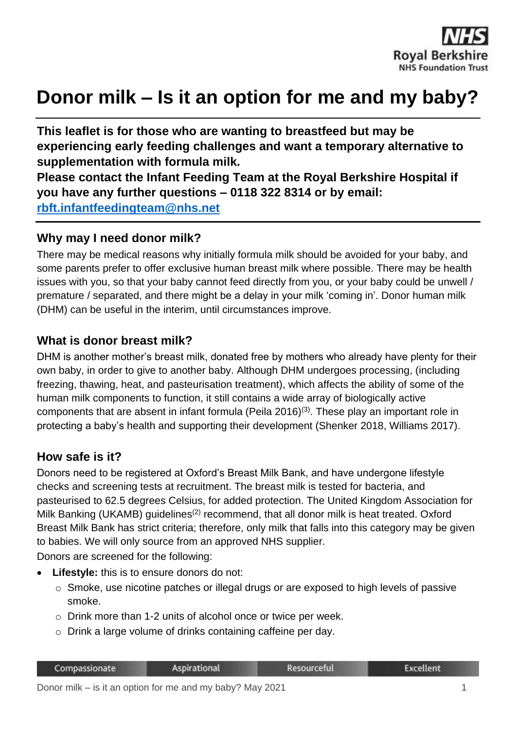

# **Donor milk – Is it an option for me and my baby?**

**This leaflet is for those who are wanting to breastfeed but may be experiencing early feeding challenges and want a temporary alternative to supplementation with formula milk.** 

**Please contact the Infant Feeding Team at the Royal Berkshire Hospital if you have any further questions – 0118 322 8314 or by email: [rbft.infantfeedingteam@nhs.net](mailto:rbft.infantfeedingteam@nhs.net)**

#### **Why may I need donor milk?**

There may be medical reasons why initially formula milk should be avoided for your baby, and some parents prefer to offer exclusive human breast milk where possible. There may be health issues with you, so that your baby cannot feed directly from you, or your baby could be unwell / premature / separated, and there might be a delay in your milk 'coming in'. Donor human milk (DHM) can be useful in the interim, until circumstances improve.

#### **What is donor breast milk?**

DHM is another mother's breast milk, donated free by mothers who already have plenty for their own baby, in order to give to another baby. Although DHM undergoes processing, (including freezing, thawing, heat, and pasteurisation treatment), which affects the ability of some of the human milk components to function, it still contains a wide array of biologically active components that are absent in infant formula (Peila 2016)<sup>(3)</sup>. These play an important role in protecting a baby's health and supporting their development (Shenker 2018, Williams 2017).

### **How safe is it?**

Donors need to be registered at Oxford's Breast Milk Bank, and have undergone lifestyle checks and screening tests at recruitment. The breast milk is tested for bacteria, and pasteurised to 62.5 degrees Celsius, for added protection. The United Kingdom Association for Milk Banking (UKAMB) guidelines<sup>(2)</sup> recommend, that all donor milk is heat treated. Oxford Breast Milk Bank has strict criteria; therefore, only milk that falls into this category may be given to babies. We will only source from an approved NHS supplier.

Donors are screened for the following:

- **Lifestyle:** this is to ensure donors do not:
	- o Smoke, use nicotine patches or illegal drugs or are exposed to high levels of passive smoke.
	- o Drink more than 1-2 units of alcohol once or twice per week.
	- o Drink a large volume of drinks containing caffeine per day.

| Compassionate | <b>Aspirational</b> | Resourceful | <b>Excellent</b> |
|---------------|---------------------|-------------|------------------|
|               |                     |             |                  |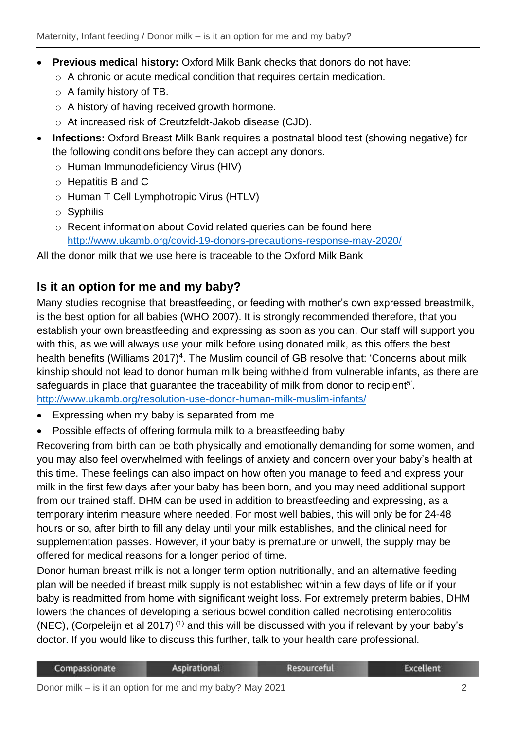- **Previous medical history:** Oxford Milk Bank checks that donors do not have:
	- o A chronic or acute medical condition that requires certain medication.
	- o A family history of TB.
	- o A history of having received growth hormone.
	- o At increased risk of Creutzfeldt-Jakob disease (CJD).
- **Infections:** Oxford Breast Milk Bank requires a postnatal blood test (showing negative) for the following conditions before they can accept any donors.
	- o Human Immunodeficiency Virus (HIV)
	- o Hepatitis B and C
	- o Human T Cell Lymphotropic Virus (HTLV)
	- o Syphilis
	- o Recent information about Covid related queries can be found here <http://www.ukamb.org/covid-19-donors-precautions-response-may-2020/>

All the donor milk that we use here is traceable to the Oxford Milk Bank

## **Is it an option for me and my baby?**

Many studies recognise that breastfeeding, or feeding with mother's own expressed breastmilk, is the best option for all babies (WHO 2007). It is strongly recommended therefore, that you establish your own breastfeeding and expressing as soon as you can. Our staff will support you with this, as we will always use your milk before using donated milk, as this offers the best health benefits (Williams 2017)<sup>4</sup>. The Muslim council of GB resolve that: 'Concerns about milk kinship should not lead to donor human milk being withheld from vulnerable infants, as there are safeguards in place that guarantee the traceability of milk from donor to recipient<sup>5'</sup>. <http://www.ukamb.org/resolution-use-donor-human-milk-muslim-infants/>

- Expressing when my baby is separated from me
- Possible effects of offering formula milk to a breastfeeding baby

Recovering from birth can be both physically and emotionally demanding for some women, and you may also feel overwhelmed with feelings of anxiety and concern over your baby's health at this time. These feelings can also impact on how often you manage to feed and express your milk in the first few days after your baby has been born, and you may need additional support from our trained staff. DHM can be used in addition to breastfeeding and expressing, as a temporary interim measure where needed. For most well babies, this will only be for 24-48 hours or so, after birth to fill any delay until your milk establishes, and the clinical need for supplementation passes. However, if your baby is premature or unwell, the supply may be offered for medical reasons for a longer period of time.

Donor human breast milk is not a longer term option nutritionally, and an alternative feeding plan will be needed if breast milk supply is not established within a few days of life or if your baby is readmitted from home with significant weight loss. For extremely preterm babies, DHM lowers the chances of developing a serious bowel condition called necrotising enterocolitis (NEC), (Corpeleijn et al 2017)<sup>(1)</sup> and this will be discussed with you if relevant by your baby's doctor. If you would like to discuss this further, talk to your health care professional.